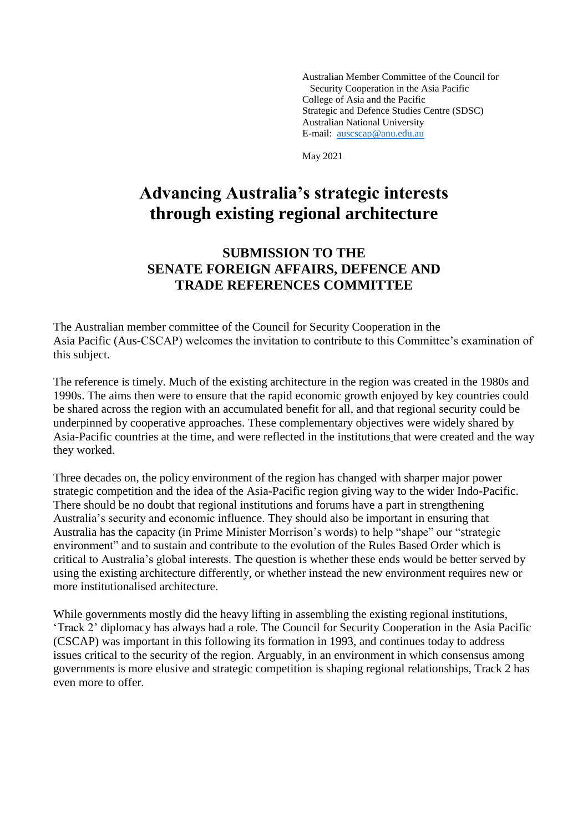Australian Member Committee of the Council for Security Cooperation in the Asia Pacific College of Asia and the Pacific Strategic and Defence Studies Centre (SDSC) Australian National University E-mail: [auscscap@anu.edu.au](mailto:auscscap@anu.edu.au)

May 2021

# **Advancing Australia's strategic interests through existing regional architecture**

### **SUBMISSION TO THE SENATE FOREIGN AFFAIRS, DEFENCE AND TRADE REFERENCES COMMITTEE**

The Australian member committee of the Council for Security Cooperation in the Asia Pacific (Aus-CSCAP) welcomes the invitation to contribute to this Committee's examination of this subject.

The reference is timely. Much of the existing architecture in the region was created in the 1980s and 1990s. The aims then were to ensure that the rapid economic growth enjoyed by key countries could be shared across the region with an accumulated benefit for all, and that regional security could be underpinned by cooperative approaches. These complementary objectives were widely shared by Asia-Pacific countries at the time, and were reflected in the institutions that were created and the way they worked.

Three decades on, the policy environment of the region has changed with sharper major power strategic competition and the idea of the Asia-Pacific region giving way to the wider Indo-Pacific. There should be no doubt that regional institutions and forums have a part in strengthening Australia's security and economic influence. They should also be important in ensuring that Australia has the capacity (in Prime Minister Morrison's words) to help "shape" our "strategic environment" and to sustain and contribute to the evolution of the Rules Based Order which is critical to Australia's global interests. The question is whether these ends would be better served by using the existing architecture differently, or whether instead the new environment requires new or more institutionalised architecture.

While governments mostly did the heavy lifting in assembling the existing regional institutions, 'Track 2' diplomacy has always had a role. The Council for Security Cooperation in the Asia Pacific (CSCAP) was important in this following its formation in 1993, and continues today to address issues critical to the security of the region. Arguably, in an environment in which consensus among governments is more elusive and strategic competition is shaping regional relationships, Track 2 has even more to offer.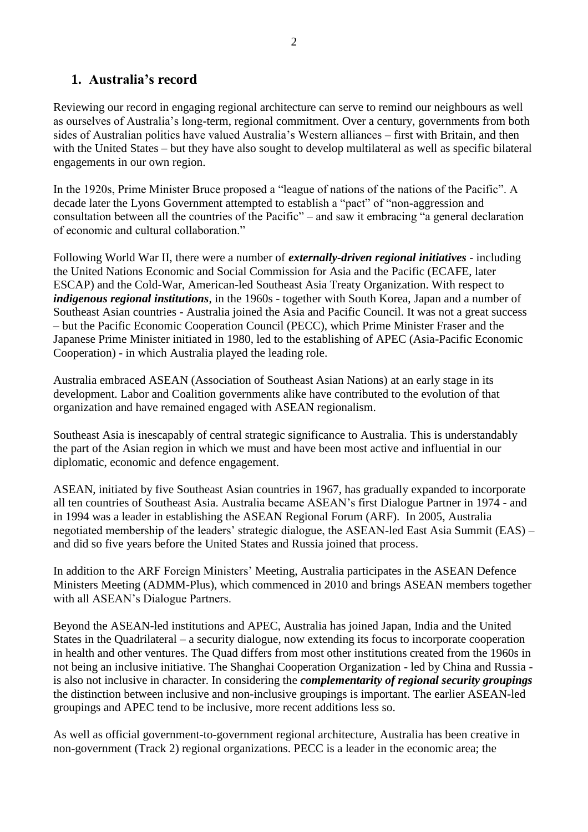### **1. Australia's record**

Reviewing our record in engaging regional architecture can serve to remind our neighbours as well as ourselves of Australia's long-term, regional commitment. Over a century, governments from both sides of Australian politics have valued Australia's Western alliances – first with Britain, and then with the United States – but they have also sought to develop multilateral as well as specific bilateral engagements in our own region.

In the 1920s, Prime Minister Bruce proposed a "league of nations of the nations of the Pacific". A decade later the Lyons Government attempted to establish a "pact" of "non-aggression and consultation between all the countries of the Pacific" – and saw it embracing "a general declaration of economic and cultural collaboration."

Following World War II, there were a number of *externally-driven regional initiatives* - including the United Nations Economic and Social Commission for Asia and the Pacific (ECAFE, later ESCAP) and the Cold-War, American-led Southeast Asia Treaty Organization. With respect to *indigenous regional institutions*, in the 1960s - together with South Korea, Japan and a number of Southeast Asian countries - Australia joined the Asia and Pacific Council. It was not a great success – but the Pacific Economic Cooperation Council (PECC), which Prime Minister Fraser and the Japanese Prime Minister initiated in 1980, led to the establishing of APEC (Asia-Pacific Economic Cooperation) - in which Australia played the leading role.

Australia embraced ASEAN (Association of Southeast Asian Nations) at an early stage in its development. Labor and Coalition governments alike have contributed to the evolution of that organization and have remained engaged with ASEAN regionalism.

Southeast Asia is inescapably of central strategic significance to Australia. This is understandably the part of the Asian region in which we must and have been most active and influential in our diplomatic, economic and defence engagement.

ASEAN, initiated by five Southeast Asian countries in 1967, has gradually expanded to incorporate all ten countries of Southeast Asia. Australia became ASEAN's first Dialogue Partner in 1974 - and in 1994 was a leader in establishing the ASEAN Regional Forum (ARF). In 2005, Australia negotiated membership of the leaders' strategic dialogue, the ASEAN-led East Asia Summit (EAS) – and did so five years before the United States and Russia joined that process.

In addition to the ARF Foreign Ministers' Meeting, Australia participates in the ASEAN Defence Ministers Meeting (ADMM-Plus), which commenced in 2010 and brings ASEAN members together with all ASEAN's Dialogue Partners.

Beyond the ASEAN-led institutions and APEC, Australia has joined Japan, India and the United States in the Quadrilateral – a security dialogue, now extending its focus to incorporate cooperation in health and other ventures. The Quad differs from most other institutions created from the 1960s in not being an inclusive initiative. The Shanghai Cooperation Organization - led by China and Russia is also not inclusive in character. In considering the *complementarity of regional security groupings* the distinction between inclusive and non-inclusive groupings is important. The earlier ASEAN-led groupings and APEC tend to be inclusive, more recent additions less so.

As well as official government-to-government regional architecture, Australia has been creative in non-government (Track 2) regional organizations. PECC is a leader in the economic area; the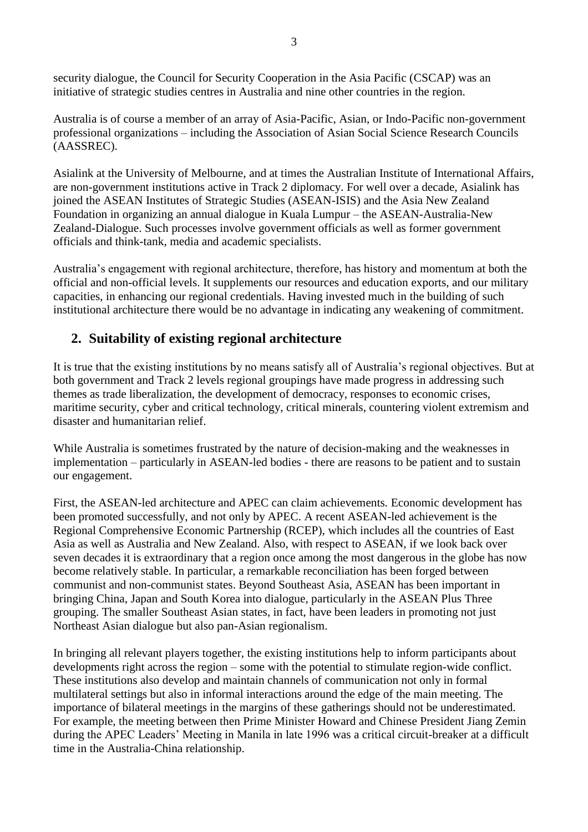security dialogue, the Council for Security Cooperation in the Asia Pacific (CSCAP) was an initiative of strategic studies centres in Australia and nine other countries in the region.

Australia is of course a member of an array of Asia-Pacific, Asian, or Indo-Pacific non-government professional organizations – including the Association of Asian Social Science Research Councils (AASSREC).

Asialink at the University of Melbourne, and at times the Australian Institute of International Affairs, are non-government institutions active in Track 2 diplomacy. For well over a decade, Asialink has joined the ASEAN Institutes of Strategic Studies (ASEAN-ISIS) and the Asia New Zealand Foundation in organizing an annual dialogue in Kuala Lumpur – the ASEAN-Australia-New Zealand-Dialogue. Such processes involve government officials as well as former government officials and think-tank, media and academic specialists.

Australia's engagement with regional architecture, therefore, has history and momentum at both the official and non-official levels. It supplements our resources and education exports, and our military capacities, in enhancing our regional credentials. Having invested much in the building of such institutional architecture there would be no advantage in indicating any weakening of commitment.

# **2. Suitability of existing regional architecture**

It is true that the existing institutions by no means satisfy all of Australia's regional objectives. But at both government and Track 2 levels regional groupings have made progress in addressing such themes as trade liberalization, the development of democracy, responses to economic crises, maritime security, cyber and critical technology, critical minerals, countering violent extremism and disaster and humanitarian relief.

While Australia is sometimes frustrated by the nature of decision-making and the weaknesses in implementation – particularly in ASEAN-led bodies - there are reasons to be patient and to sustain our engagement.

First, the ASEAN-led architecture and APEC can claim achievements*.* Economic development has been promoted successfully, and not only by APEC. A recent ASEAN-led achievement is the Regional Comprehensive Economic Partnership (RCEP), which includes all the countries of East Asia as well as Australia and New Zealand. Also, with respect to ASEAN, if we look back over seven decades it is extraordinary that a region once among the most dangerous in the globe has now become relatively stable. In particular, a remarkable reconciliation has been forged between communist and non-communist states. Beyond Southeast Asia, ASEAN has been important in bringing China, Japan and South Korea into dialogue, particularly in the ASEAN Plus Three grouping. The smaller Southeast Asian states, in fact, have been leaders in promoting not just Northeast Asian dialogue but also pan-Asian regionalism.

In bringing all relevant players together, the existing institutions help to inform participants about developments right across the region – some with the potential to stimulate region-wide conflict. These institutions also develop and maintain channels of communication not only in formal multilateral settings but also in informal interactions around the edge of the main meeting. The importance of bilateral meetings in the margins of these gatherings should not be underestimated. For example, the meeting between then Prime Minister Howard and Chinese President Jiang Zemin during the APEC Leaders' Meeting in Manila in late 1996 was a critical circuit-breaker at a difficult time in the Australia-China relationship.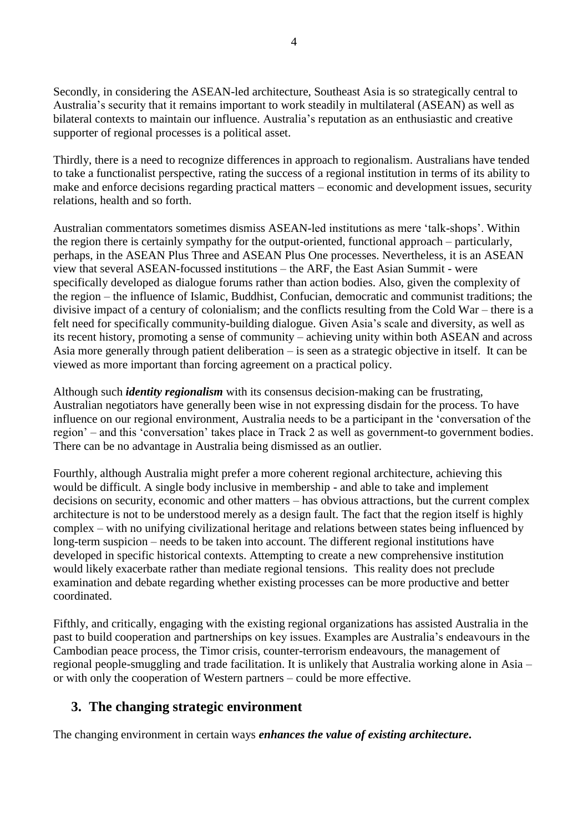Secondly, in considering the ASEAN-led architecture, Southeast Asia is so strategically central to Australia's security that it remains important to work steadily in multilateral (ASEAN) as well as bilateral contexts to maintain our influence. Australia's reputation as an enthusiastic and creative supporter of regional processes is a political asset.

Thirdly, there is a need to recognize differences in approach to regionalism. Australians have tended to take a functionalist perspective, rating the success of a regional institution in terms of its ability to make and enforce decisions regarding practical matters – economic and development issues, security relations, health and so forth.

Australian commentators sometimes dismiss ASEAN-led institutions as mere 'talk-shops'. Within the region there is certainly sympathy for the output-oriented, functional approach – particularly, perhaps, in the ASEAN Plus Three and ASEAN Plus One processes. Nevertheless, it is an ASEAN view that several ASEAN-focussed institutions – the ARF, the East Asian Summit - were specifically developed as dialogue forums rather than action bodies. Also, given the complexity of the region – the influence of Islamic, Buddhist, Confucian, democratic and communist traditions; the divisive impact of a century of colonialism; and the conflicts resulting from the Cold War – there is a felt need for specifically community-building dialogue. Given Asia's scale and diversity, as well as its recent history, promoting a sense of community – achieving unity within both ASEAN and across Asia more generally through patient deliberation – is seen as a strategic objective in itself. It can be viewed as more important than forcing agreement on a practical policy.

Although such *identity regionalism* with its consensus decision-making can be frustrating, Australian negotiators have generally been wise in not expressing disdain for the process. To have influence on our regional environment, Australia needs to be a participant in the 'conversation of the region' – and this 'conversation' takes place in Track 2 as well as government-to government bodies. There can be no advantage in Australia being dismissed as an outlier.

Fourthly, although Australia might prefer a more coherent regional architecture, achieving this would be difficult. A single body inclusive in membership - and able to take and implement decisions on security, economic and other matters – has obvious attractions, but the current complex architecture is not to be understood merely as a design fault. The fact that the region itself is highly complex – with no unifying civilizational heritage and relations between states being influenced by long-term suspicion – needs to be taken into account. The different regional institutions have developed in specific historical contexts. Attempting to create a new comprehensive institution would likely exacerbate rather than mediate regional tensions. This reality does not preclude examination and debate regarding whether existing processes can be more productive and better coordinated.

Fifthly, and critically, engaging with the existing regional organizations has assisted Australia in the past to build cooperation and partnerships on key issues. Examples are Australia's endeavours in the Cambodian peace process, the Timor crisis, counter-terrorism endeavours, the management of regional people-smuggling and trade facilitation. It is unlikely that Australia working alone in Asia – or with only the cooperation of Western partners – could be more effective.

# **3. The changing strategic environment**

The changing environment in certain ways *enhances the value of existing architecture***.**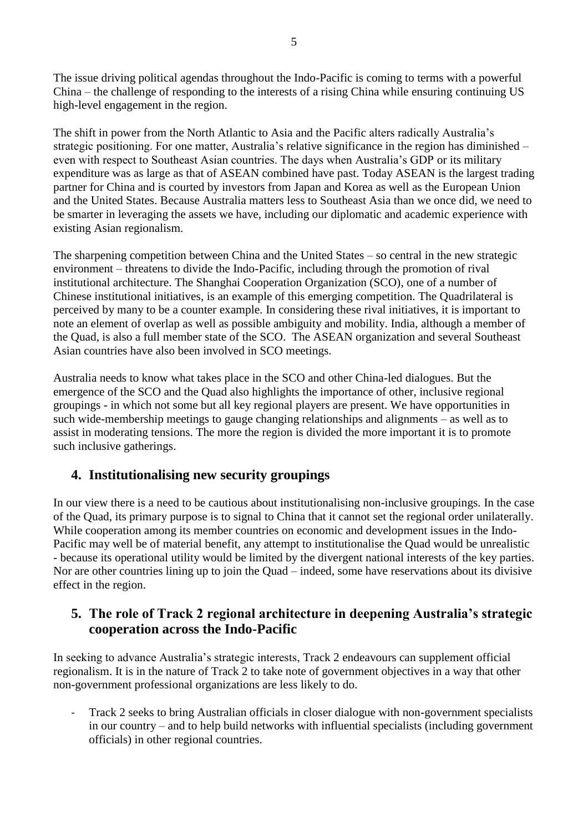The issue driving political agendas throughout the Indo-Pacific is coming to terms with a powerful China – the challenge of responding to the interests of a rising China while ensuring continuing US high-level engagement in the region.

The shift in power from the North Atlantic to Asia and the Pacific alters radically Australia's strategic positioning. For one matter, Australia's relative significance in the region has diminished – even with respect to Southeast Asian countries. The days when Australia's GDP or its military expenditure was as large as that of ASEAN combined have past. Today ASEAN is the largest trading partner for China and is courted by investors from Japan and Korea as well as the European Union and the United States. Because Australia matters less to Southeast Asia than we once did, we need to be smarter in leveraging the assets we have, including our diplomatic and academic experience with existing Asian regionalism.

The sharpening competition between China and the United States – so central in the new strategic environment – threatens to divide the Indo-Pacific, including through the promotion of rival institutional architecture. The Shanghai Cooperation Organization (SCO), one of a number of Chinese institutional initiatives, is an example of this emerging competition. The Quadrilateral is perceived by many to be a counter example. In considering these rival initiatives, it is important to note an element of overlap as well as possible ambiguity and mobility. India, although a member of the Quad, is also a full member state of the SCO. The ASEAN organization and several Southeast Asian countries have also been involved in SCO meetings.

Australia needs to know what takes place in the SCO and other China-led dialogues. But the emergence of the SCO and the Quad also highlights the importance of other, inclusive regional groupings - in which not some but all key regional players are present. We have opportunities in such wide-membership meetings to gauge changing relationships and alignments – as well as to assist in moderating tensions. The more the region is divided the more important it is to promote such inclusive gatherings.

# **4. Institutionalising new security groupings**

In our view there is a need to be cautious about institutionalising non-inclusive groupings. In the case of the Quad, its primary purpose is to signal to China that it cannot set the regional order unilaterally. While cooperation among its member countries on economic and development issues in the Indo-Pacific may well be of material benefit, any attempt to institutionalise the Quad would be unrealistic - because its operational utility would be limited by the divergent national interests of the key parties. Nor are other countries lining up to join the Quad – indeed, some have reservations about its divisive effect in the region.

#### **5. The role of Track 2 regional architecture in deepening Australia's strategic cooperation across the Indo-Pacific**

In seeking to advance Australia's strategic interests, Track 2 endeavours can supplement official regionalism. It is in the nature of Track 2 to take note of government objectives in a way that other non-government professional organizations are less likely to do.

- Track 2 seeks to bring Australian officials in closer dialogue with non-government specialists in our country – and to help build networks with influential specialists (including government officials) in other regional countries.